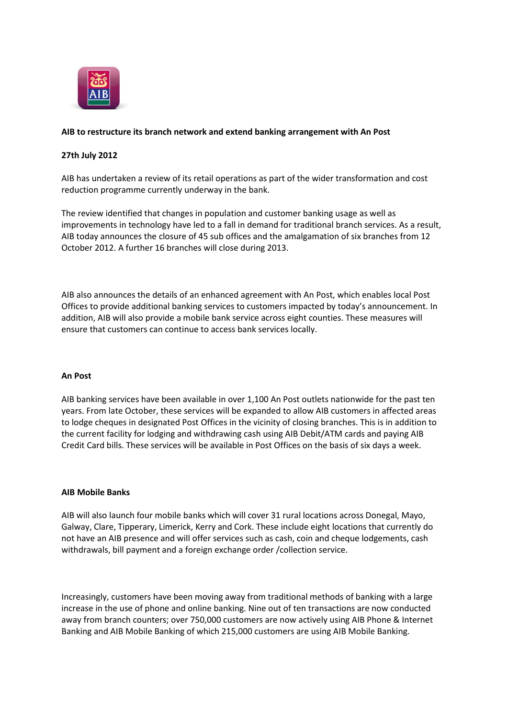

# **AIB to restructure its branch network and extend banking arrangement with An Post**

# **27th July 2012**

AIB has undertaken a review of its retail operations as part of the wider transformation and cost reduction programme currently underway in the bank.

The review identified that changes in population and customer banking usage as well as improvements in technology have led to a fall in demand for traditional branch services. As a result, AIB today announces the closure of 45 sub offices and the amalgamation of six branches from 12 October 2012. A further 16 branches will close during 2013.

AIB also announces the details of an enhanced agreement with An Post, which enables local Post Offices to provide additional banking services to customers impacted by today's announcement. In addition, AIB will also provide a mobile bank service across eight counties. These measures will ensure that customers can continue to access bank services locally.

## **An Post**

AIB banking services have been available in over 1,100 An Post outlets nationwide for the past ten years. From late October, these services will be expanded to allow AIB customers in affected areas to lodge cheques in designated Post Offices in the vicinity of closing branches. This is in addition to the current facility for lodging and withdrawing cash using AIB Debit/ATM cards and paying AIB Credit Card bills. These services will be available in Post Offices on the basis of six days a week.

### **AIB Mobile Banks**

AIB will also launch four mobile banks which will cover 31 rural locations across Donegal, Mayo, Galway, Clare, Tipperary, Limerick, Kerry and Cork. These include eight locations that currently do not have an AIB presence and will offer services such as cash, coin and cheque lodgements, cash withdrawals, bill payment and a foreign exchange order /collection service.

Increasingly, customers have been moving away from traditional methods of banking with a large increase in the use of phone and online banking. Nine out of ten transactions are now conducted away from branch counters; over 750,000 customers are now actively using AIB Phone & Internet Banking and AIB Mobile Banking of which 215,000 customers are using AIB Mobile Banking.